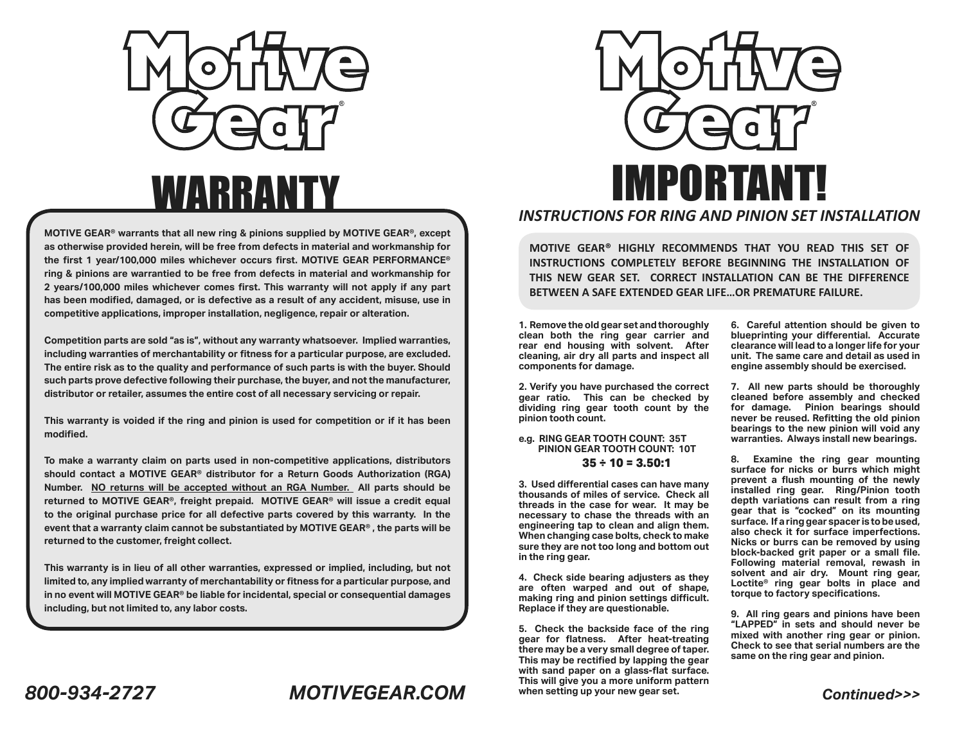

# **WARRANT**

**MOTIVE GEAR® warrants that all new ring & pinions supplied by MOTIVE GEAR®, except as otherwise provided herein, will be free from defects in material and workmanship for the first 1 year/100,000 miles whichever occurs first. MOTIVE GEAR PERFORMANCE® ring & pinions are warrantied to be free from defects in material and workmanship for 2 years/100,000 miles whichever comes first. This warranty will not apply if any part has been modified, damaged, or is defective as a result of any accident, misuse, use in competitive applications, improper installation, negligence, repair or alteration.**

**Competition parts are sold "as is", without any warranty whatsoever. Implied warranties, including warranties of merchantability or fitness for a particular purpose, are excluded. The entire risk as to the quality and performance of such parts is with the buyer. Should such parts prove defective following their purchase, the buyer, and not the manufacturer, distributor or retailer, assumes the entire cost of all necessary servicing or repair.**

**This warranty is voided if the ring and pinion is used for competition or if it has been modified.**

**To make a warranty claim on parts used in non-competitive applications, distributors should contact a MOTIVE GEAR® distributor for a Return Goods Authorization (RGA) Number. NO returns will be accepted without an RGA Number. All parts should be returned to MOTIVE GEAR®, freight prepaid. MOTIVE GEAR® will issue a credit equal to the original purchase price for all defective parts covered by this warranty. In the event that a warranty claim cannot be substantiated by MOTIVE GEAR® , the parts will be returned to the customer, freight collect.**

**This warranty is in lieu of all other warranties, expressed or implied, including, but not limited to, any implied warranty of merchantability or fitness for a particular purpose, and in no event will MOTIVE GEAR® be liable for incidental, special or consequential damages including, but not limited to, any labor costs.**



**MOTIVE GEAR® HIGHLY RECOMMENDS THAT YOU READ THIS SET OF INSTRUCTIONS COMPLETELY BEFORE BEGINNING THE INSTALLATION OF THIS NEW GEAR SET. CORRECT INSTALLATION CAN BE THE DIFFERENCE BETWEEN A SAFE EXTENDED GEAR LIFE…OR PREMATURE FAILURE.**

**1. Remove the old gear set and thoroughly clean both the ring gear carrier and rear end housing with solvent. After cleaning, air dry all parts and inspect all components for damage.**

**2. Verify you have purchased the correct gear ratio. This can be checked by dividing ring gear tooth count by the pinion tooth count.**

#### **e.g. RING GEAR TOOTH COUNT: 35T PINION GEAR TOOTH COUNT: 10T 35 ÷ 10 = 3.50:1**

**3. Used differential cases can have many thousands of miles of service. Check all threads in the case for wear. It may be necessary to chase the threads with an engineering tap to clean and align them. When changing case bolts, check to make sure they are not too long and bottom out in the ring gear.**

**4. Check side bearing adjusters as they are often warped and out of shape, making ring and pinion settings difficult. Replace if they are questionable.**

**5. Check the backside face of the ring gear for flatness. After heat-treating there may be a very small degree of taper. This may be rectified by lapping the gear with sand paper on a glass-flat surface. This will give you a more uniform pattern when setting up your new gear set.**

**6. Careful attention should be given to blueprinting your differential. Accurate clearance will lead to a longer life for your unit. The same care and detail as used in engine assembly should be exercised.**

**7. All new parts should be thoroughly cleaned before assembly and checked for damage. Pinion bearings should never be reused. Refitting the old pinion bearings to the new pinion will void any warranties. Always install new bearings.**

**8. Examine the ring gear mounting surface for nicks or burrs which might prevent a flush mounting of the newly installed ring gear. Ring/Pinion tooth depth variations can result from a ring gear that is "cocked" on its mounting surface. If a ring gear spacer is to be used, also check it for surface imperfections. Nicks or burrs can be removed by using block-backed grit paper or a small file. Following material removal, rewash in solvent and air dry. Mount ring gear, Loctite® ring gear bolts in place and torque to factory specifications.**

**9. All ring gears and pinions have been "LAPPED" in sets and should never be mixed with another ring gear or pinion. Check to see that serial numbers are the same on the ring gear and pinion.**

*Continued>>>*